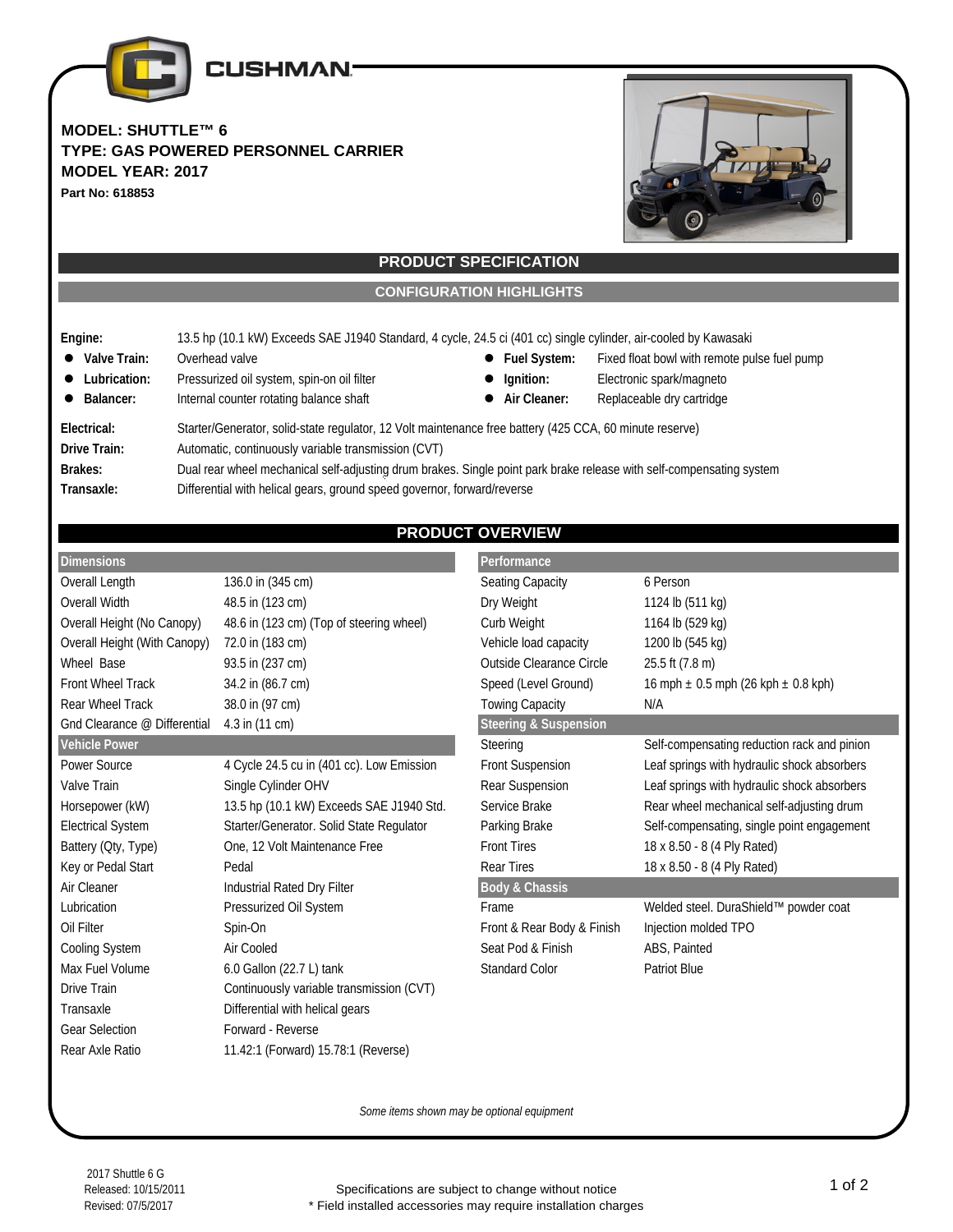

**MODEL: SHUTTLE™ 6 TYPE: GAS POWERED PERSONNEL CARRIER MODEL YEAR: 2017 Part No: 618853**



## **PRODUCT SPECIFICATION**

**CONFIGURATION HIGHLIGHTS**

- **Engine:** 13.5 hp (10.1 kW) Exceeds SAE J1940 Standard, 4 cycle, 24.5 ci (401 cc) single cylinder, air-cooled by Kawasaki
- Valve Train: Overhead valve **booking the system Fuel System:** Fixed float bowl with remote pulse fuel pump
- Lubrication: Pressurized oil system, spin-on oil filter  **Ignition:** Electronic spark/magneto
- Balancer: Internal counter rotating balance shaft  **Air Cleaner:** Replaceable dry cartridge
- -
	-

**Electrical:** Starter/Generator, solid-state regulator, 12 Volt maintenance free battery (425 CCA, 60 minute reserve) **Drive Train:** Automatic, continuously variable transmission (CVT) **Brakes:** Dual rear wheel mechanical self-adjusting drum brakes. Single point park brake release with self-compensating system

**Transaxle:** Differential with helical gears, ground speed governor, forward/reverse

# **PRODUCT OVERVIEW**

| <b>Dimensions</b>            |                                           | Performance                      |                                             |
|------------------------------|-------------------------------------------|----------------------------------|---------------------------------------------|
| Overall Length               | 136.0 in (345 cm)                         | Seating Capacity                 | 6 Person                                    |
| Overall Width                | 48.5 in (123 cm)                          | Dry Weight                       | 1124 lb (511 kg)                            |
| Overall Height (No Canopy)   | 48.6 in (123 cm) (Top of steering wheel)  | Curb Weight                      | 1164 lb (529 kg)                            |
| Overall Height (With Canopy) | 72.0 in (183 cm)                          | Vehicle load capacity            | 1200 lb (545 kg)                            |
| Wheel Base                   | 93.5 in (237 cm)                          | Outside Clearance Circle         | 25.5 ft (7.8 m)                             |
| Front Wheel Track            | 34.2 in (86.7 cm)                         | Speed (Level Ground)             | 16 mph $\pm$ 0.5 mph (26 kph $\pm$ 0.8 kph) |
| Rear Wheel Track             | 38.0 in (97 cm)                           | <b>Towing Capacity</b>           | N/A                                         |
| Gnd Clearance @ Differential | 4.3 in (11 cm)                            | <b>Steering &amp; Suspension</b> |                                             |
| Vehicle Power                |                                           | Steering                         | Self-compensating reduction rack and pinion |
| Power Source                 | 4 Cycle 24.5 cu in (401 cc). Low Emission | <b>Front Suspension</b>          | Leaf springs with hydraulic shock absorbers |
| Valve Train                  | Single Cylinder OHV                       | Rear Suspension                  | Leaf springs with hydraulic shock absorbers |
| Horsepower (kW)              | 13.5 hp (10.1 kW) Exceeds SAE J1940 Std.  | Service Brake                    | Rear wheel mechanical self-adjusting drum   |
| <b>Electrical System</b>     | Starter/Generator. Solid State Regulator  | Parking Brake                    | Self-compensating, single point engagement  |
| Battery (Oty, Type)          | One, 12 Volt Maintenance Free             | <b>Front Tires</b>               | 18 x 8.50 - 8 (4 Ply Rated)                 |
| Key or Pedal Start           | Pedal                                     | <b>Rear Tires</b>                | 18 x 8.50 - 8 (4 Ply Rated)                 |
| Air Cleaner                  | Industrial Rated Dry Filter               | <b>Body &amp; Chassis</b>        |                                             |
| Lubrication                  | Pressurized Oil System                    | Frame                            | Welded steel. DuraShield™ powder coat       |
| Oil Filter                   | Spin-On                                   | Front & Rear Body & Finish       | Injection molded TPO                        |
| <b>Cooling System</b>        | Air Cooled                                | Seat Pod & Finish                | ABS, Painted                                |
| Max Fuel Volume              | 6.0 Gallon (22.7 L) tank                  | <b>Standard Color</b>            | <b>Patriot Blue</b>                         |
| Drive Train                  | Continuously variable transmission (CVT)  |                                  |                                             |
| Transaxle                    | Differential with helical gears           |                                  |                                             |
| <b>Gear Selection</b>        | Forward - Reverse                         |                                  |                                             |
| Rear Axle Ratio              | 11.42:1 (Forward) 15.78:1 (Reverse)       |                                  |                                             |
|                              |                                           |                                  |                                             |

*Some items shown may be optional equipment*